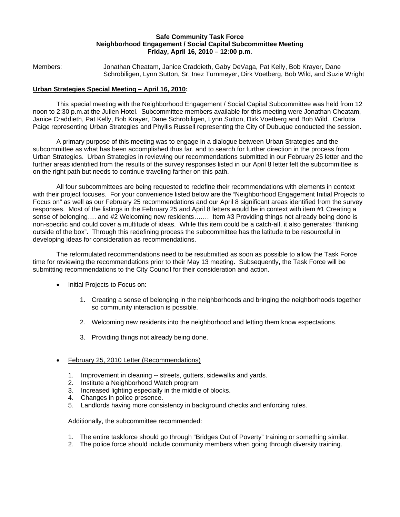#### **Safe Community Task Force Neighborhood Engagement / Social Capital Subcommittee Meeting Friday, April 16, 2010 – 12:00 p.m.**

Members: Jonathan Cheatam, Janice Craddieth, Gaby DeVaga, Pat Kelly, Bob Krayer, Dane Schrobiligen, Lynn Sutton, Sr. Inez Turnmeyer, Dirk Voetberg, Bob Wild, and Suzie Wright

### **Urban Strategies Special Meeting – April 16, 2010:**

This special meeting with the Neighborhood Engagement / Social Capital Subcommittee was held from 12 noon to 2:30 p.m.at the Julien Hotel. Subcommittee members available for this meeting were Jonathan Cheatam, Janice Craddieth, Pat Kelly, Bob Krayer, Dane Schrobiligen, Lynn Sutton, Dirk Voetberg and Bob Wild. Carlotta Paige representing Urban Strategies and Phyllis Russell representing the City of Dubuque conducted the session.

A primary purpose of this meeting was to engage in a dialogue between Urban Strategies and the subcommittee as what has been accomplished thus far, and to search for further direction in the process from Urban Strategies. Urban Strategies in reviewing our recommendations submitted in our February 25 letter and the further areas identified from the results of the survey responses listed in our April 8 letter felt the subcommittee is on the right path but needs to continue traveling farther on this path.

All four subcommittees are being requested to redefine their recommendations with elements in context with their project focuses. For your convenience listed below are the "Neighborhood Engagement Initial Projects to Focus on" as well as our February 25 recommendations and our April 8 significant areas identified from the survey responses. Most of the listings in the February 25 and April 8 letters would be in context with item #1 Creating a sense of belonging…. and #2 Welcoming new residents……. Item #3 Providing things not already being done is non-specific and could cover a multitude of ideas. While this item could be a catch-all, it also generates "thinking outside of the box". Through this redefining process the subcommittee has the latitude to be resourceful in developing ideas for consideration as recommendations.

The reformulated recommendations need to be resubmitted as soon as possible to allow the Task Force time for reviewing the recommendations prior to their May 13 meeting. Subsequently, the Task Force will be submitting recommendations to the City Council for their consideration and action.

- Initial Projects to Focus on:
	- 1. Creating a sense of belonging in the neighborhoods and bringing the neighborhoods together so community interaction is possible.
	- 2. Welcoming new residents into the neighborhood and letting them know expectations.
	- 3. Providing things not already being done.
- February 25, 2010 Letter (Recommendations)
	- 1. Improvement in cleaning -- streets, gutters, sidewalks and yards.
	- 2. Institute a Neighborhood Watch program
	- 3. Increased lighting especially in the middle of blocks.
	- 4. Changes in police presence.
	- 5. Landlords having more consistency in background checks and enforcing rules.

Additionally, the subcommittee recommended:

- 1. The entire taskforce should go through "Bridges Out of Poverty" training or something similar.
- 2. The police force should include community members when going through diversity training.